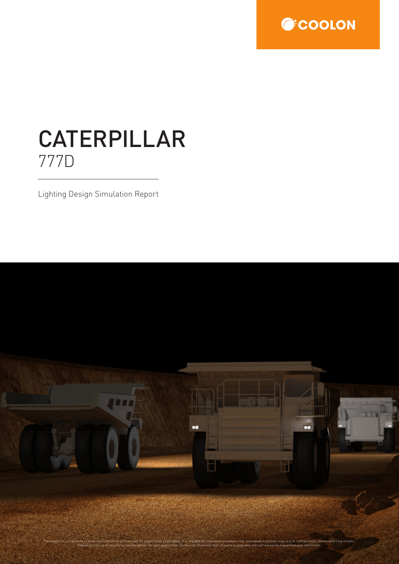

# CATERPILLAR 777D

Lighting Design Simulation Report

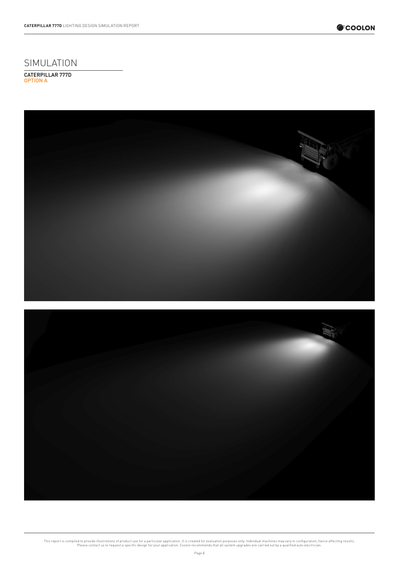

SIMULATION

CATERPILLAR 777D OPTION A





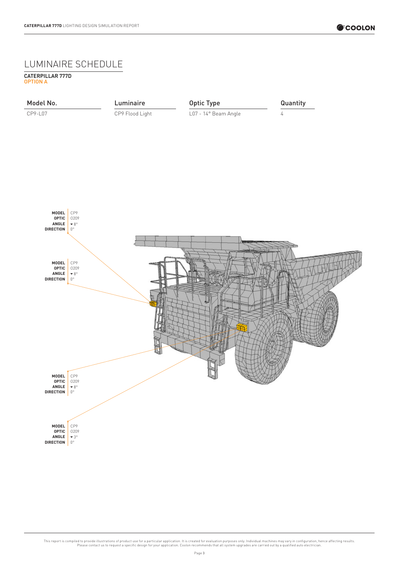## LUMINAIRE SCHEDULE

OPTION A CATERPILLAR 777D

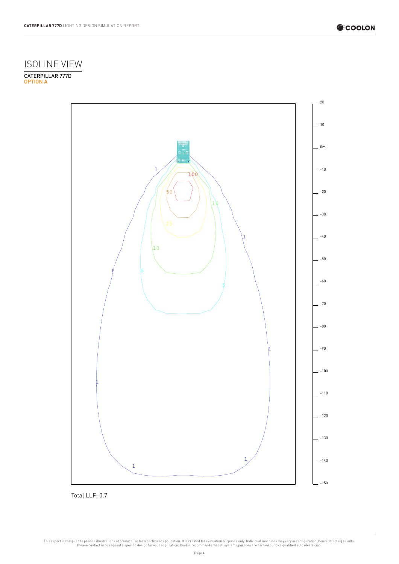

#### ISOLINE VIEW

OPTION A CATERPILLAR 777D



Total LLF: 0.7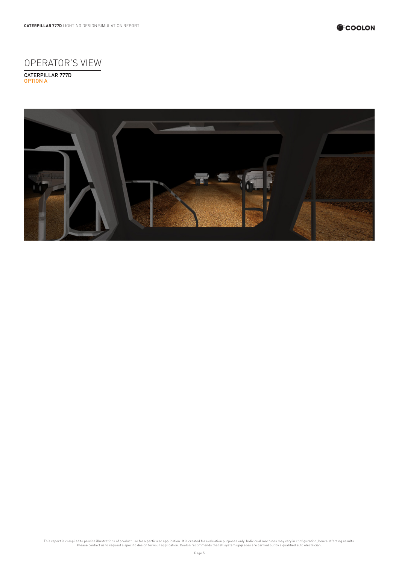

## OPERATOR'S VIEW

OPTION A CATERPILLAR 777D

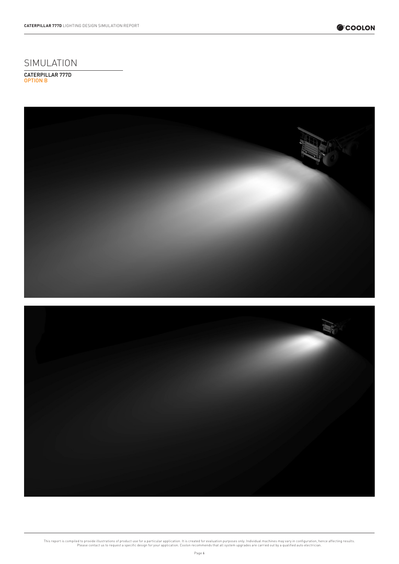





SIMULATION OPTION B CATERPILLAR 777D

**CATERPILLAR 777D** LIGHTING DESIGN SIMULATION REPORT

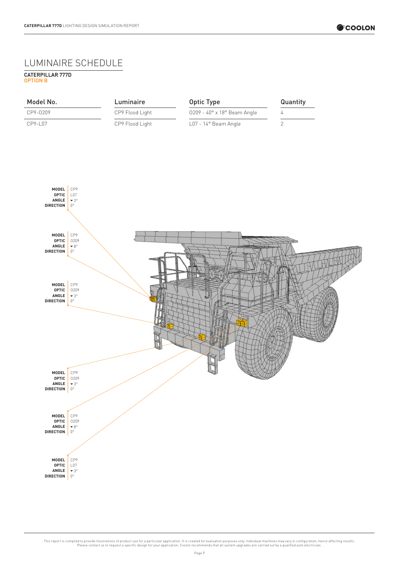#### LUMINAIRE SCHEDULE

OPTION B CATERPILLAR 777D

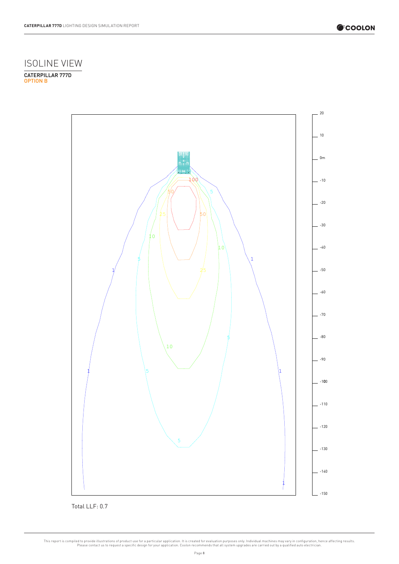



OPTION B CATERPILLAR 777D



Total LLF: 0.7